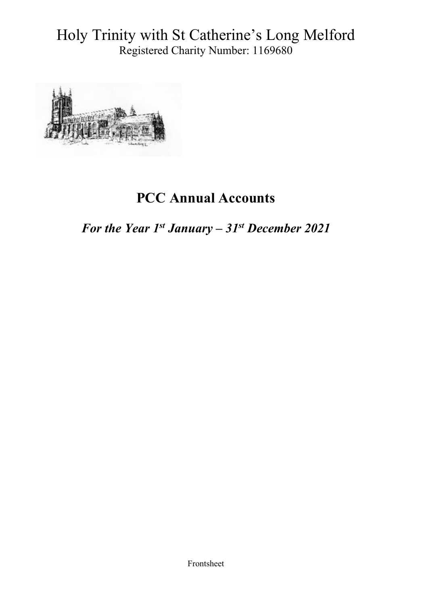Holy Trinity with St Catherine's Long Melford Registered Charity Number: 1169680



# **PCC Annual Accounts**

*For the Year 1st January – 31st December 2021*

Frontsheet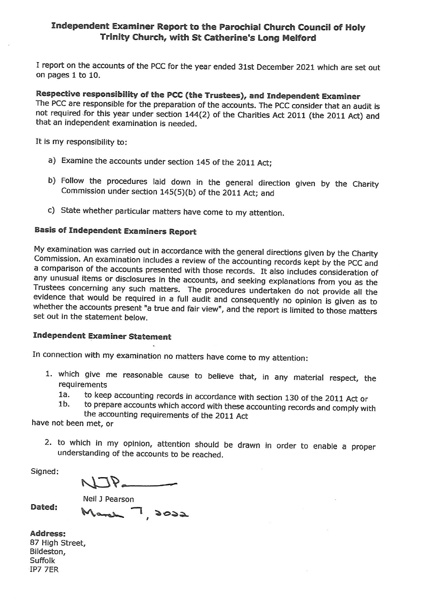# Independent Examiner Report to the Parochial Church Council of Holy Trinity Church, with St Catherine's Long Melford

I report on the accounts of the PCC for the year ended 31st December 2021 which are set out on pages 1 to 10.

Respective responsibility of the PCC (the Trustees), and Independent Examiner The PCC are responsible for the preparation of the accounts. The PCC consider that an audit is not required for this year under section 144(2) of the Charities Act 2011 (the 2011 Act) and that an independent examination is needed.

It is my responsibility to:

- a) Examine the accounts under section 145 of the 2011 Act;
- b) Follow the procedures laid down in the general direction given by the Charity Commission under section 145(5)(b) of the 2011 Act; and
- c) State whether particular matters have come to my attention.

# **Basis of Independent Examiners Report**

My examination was carried out in accordance with the general directions given by the Charity Commission. An examination includes a review of the accounting records kept by the PCC and a comparison of the accounts presented with those records. It also includes consideration of any unusual items or disclosures in the accounts, and seeking explanations from you as the Trustees concerning any such matters. The procedures undertaken do not provide all the evidence that would be required in a full audit and consequently no opinion is given as to whether the accounts present "a true and fair view", and the report is limited to those matters set out in the statement below.

# **Independent Examiner Statement**

In connection with my examination no matters have come to my attention:

- 1. which give me reasonable cause to believe that, in any material respect, the requirements
	- to keep accounting records in accordance with section 130 of the 2011 Act or  $1a.$
	- to prepare accounts which accord with these accounting records and comply with  $1<sub>b</sub>$ the accounting requirements of the 2011 Act

have not been met, or

2. to which in my opinion, attention should be drawn in order to enable a proper understanding of the accounts to be reached.

Signed:

 $NJP$ 

Neil J Pearson

Dated:

March 7 2022

**Address:** 87 High Street, Bildeston, Suffolk IP7 7ER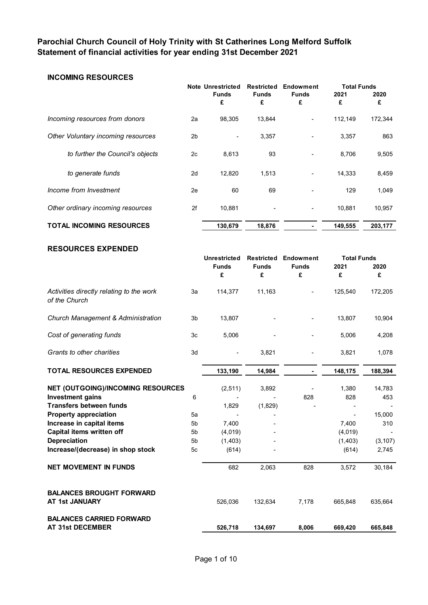# **Parochial Church Council of Holy Trinity with St Catherines Long Melford Suffolk Statement of financial activities for year ending 31st December 2021**

# **INCOMING RESOURCES**

|                                    |                | Note Unrestricted        | <b>Restricted</b>        | Endowment         | <b>Total Funds</b> |           |
|------------------------------------|----------------|--------------------------|--------------------------|-------------------|--------------------|-----------|
|                                    |                | <b>Funds</b><br>£        | <b>Funds</b><br>£        | <b>Funds</b><br>£ | 2021<br>£          | 2020<br>£ |
| Incoming resources from donors     | 2a             | 98,305                   | 13,844                   | ۰                 | 112,149            | 172,344   |
| Other Voluntary incoming resources | 2 <sub>b</sub> | $\overline{\phantom{a}}$ | 3,357                    |                   | 3,357              | 863       |
| to further the Council's objects   | 2c             | 8,613                    | 93                       |                   | 8,706              | 9,505     |
| to generate funds                  | 2d             | 12.820                   | 1,513                    | ٠                 | 14,333             | 8,459     |
| Income from Investment             | 2e             | 60                       | 69                       |                   | 129                | 1,049     |
| Other ordinary incoming resources  | 2f             | 10,881                   | $\overline{\phantom{0}}$ | ٠                 | 10,881             | 10,957    |
| <b>TOTAL INCOMING RESOURCES</b>    |                | 130,679                  | 18,876                   |                   | 149,555            | 203,177   |

#### **RESOURCES EXPENDED**

|                                                           |                | <b>Unrestricted</b><br><b>Funds</b><br>£ | <b>Restricted</b><br><b>Funds</b><br>£ | <b>Endowment</b><br><b>Funds</b><br>£ | <b>Total Funds</b><br>2021<br>£ | 2020<br>£ |
|-----------------------------------------------------------|----------------|------------------------------------------|----------------------------------------|---------------------------------------|---------------------------------|-----------|
| Activities directly relating to the work<br>of the Church | 3a             | 114,377                                  | 11,163                                 |                                       | 125,540                         | 172,205   |
| Church Management & Administration                        | 3 <sub>b</sub> | 13,807                                   |                                        |                                       | 13,807                          | 10,904    |
| Cost of generating funds                                  | 3c             | 5,006                                    |                                        |                                       | 5,006                           | 4,208     |
| Grants to other charities                                 | 3d             |                                          | 3,821                                  |                                       | 3,821                           | 1,078     |
| <b>TOTAL RESOURCES EXPENDED</b>                           |                | 133,190                                  | 14,984                                 |                                       | 148,175                         | 188,394   |
| <b>NET (OUTGOING)/INCOMING RESOURCES</b>                  |                | (2, 511)                                 | 3,892                                  |                                       | 1,380                           | 14,783    |
| <b>Investment gains</b>                                   | 6              |                                          |                                        | 828                                   | 828                             | 453       |
| <b>Transfers between funds</b>                            |                | 1,829                                    | (1,829)                                |                                       |                                 |           |
| <b>Property appreciation</b>                              | 5a             |                                          |                                        |                                       |                                 | 15,000    |
| Increase in capital items                                 | 5 <sub>b</sub> | 7,400                                    |                                        |                                       | 7,400                           | 310       |
| Capital items written off                                 | 5 <sub>b</sub> | (4,019)                                  |                                        |                                       | (4,019)                         |           |
| <b>Depreciation</b>                                       | 5 <sub>b</sub> | (1,403)                                  |                                        |                                       | (1,403)                         | (3, 107)  |
| Increase/(decrease) in shop stock                         | 5 <sub>c</sub> | (614)                                    |                                        |                                       | (614)                           | 2,745     |
| <b>NET MOVEMENT IN FUNDS</b>                              |                | 682                                      | 2,063                                  | 828                                   | 3,572                           | 30,184    |
| <b>BALANCES BROUGHT FORWARD</b><br>AT 1st JANUARY         |                | 526,036                                  | 132,634                                | 7,178                                 | 665,848                         | 635,664   |
| <b>BALANCES CARRIED FORWARD</b><br>AT 31st DECEMBER       |                | 526,718                                  | 134,697                                | 8,006                                 | 669,420                         | 665,848   |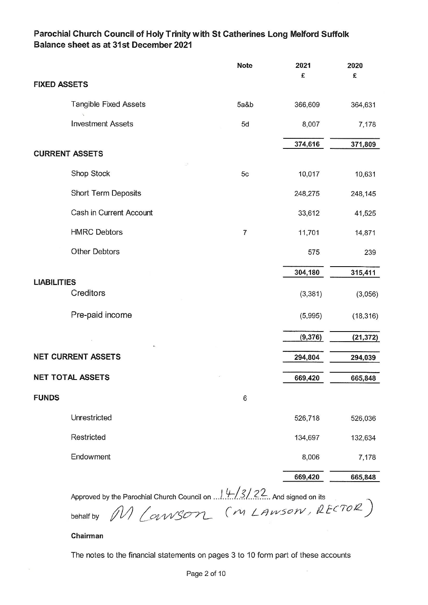# Parochial Church Council of Holy Trinity with St Catherines Long Melford Suffolk Balance sheet as at 31st December 2021

|                       |                              | <b>Note</b>    | 2021<br>£ | 2020<br>£ |
|-----------------------|------------------------------|----------------|-----------|-----------|
| <b>FIXED ASSETS</b>   |                              |                |           |           |
|                       | <b>Tangible Fixed Assets</b> | 5a&b           | 366,609   | 364,631   |
|                       | <b>Investment Assets</b>     | 5d             | 8,007     | 7,178     |
|                       |                              |                | 374,616   | 371,809   |
| <b>CURRENT ASSETS</b> |                              |                |           |           |
|                       | Shop Stock                   | 5c             | 10,017    | 10,631    |
|                       | Short Term Deposits          |                | 248,275   | 248,145   |
|                       | Cash in Current Account      |                | 33,612    | 41,525    |
|                       | <b>HMRC Debtors</b>          | $\overline{7}$ | 11,701    | 14,871    |
|                       | <b>Other Debtors</b>         |                | 575       | 239       |
|                       |                              |                | 304,180   | 315,411   |
| <b>LIABILITIES</b>    |                              |                |           |           |
|                       | Creditors                    |                | (3, 381)  | (3,056)   |
|                       | Pre-paid income              |                | (5,995)   | (18, 316) |
|                       |                              |                | (9, 376)  | (21, 372) |
|                       | <b>NET CURRENT ASSETS</b>    |                | 294,804   | 294,039   |
|                       | <b>NET TOTAL ASSETS</b>      |                | 669,420   | 665,848   |
| <b>FUNDS</b>          |                              | 6              |           |           |
|                       | Unrestricted                 |                | 526,718   | 526,036   |
|                       | Restricted                   |                | 134,697   | 132,634   |
|                       | Endowment                    |                | 8,006     | 7,178     |
|                       |                              |                | 669,420   | 665,848   |

### Chairman

The notes to the financial statements on pages 3 to 10 form part of these accounts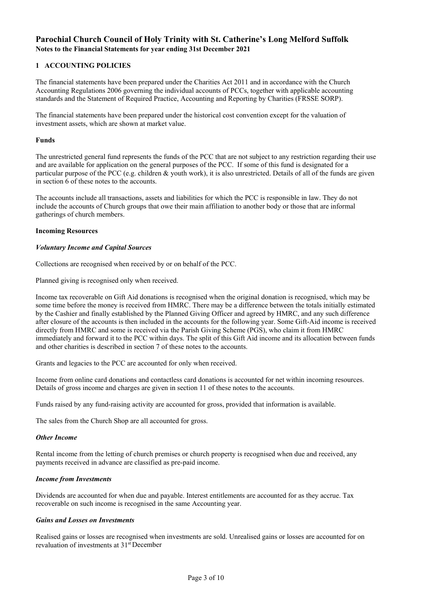# **Parochial Church Council of Holy Trinity with St. Catherine's Long Melford Suffolk Notes to the Financial Statements for year ending 31st December 2021**

### **1 ACCOUNTING POLICIES**

The financial statements have been prepared under the Charities Act 2011 and in accordance with the Church Accounting Regulations 2006 governing the individual accounts of PCCs, together with applicable accounting standards and the Statement of Required Practice, Accounting and Reporting by Charities (FRSSE SORP).

The financial statements have been prepared under the historical cost convention except for the valuation of investment assets, which are shown at market value.

#### **Funds**

The unrestricted general fund represents the funds of the PCC that are not subject to any restriction regarding their use and are available for application on the general purposes of the PCC. If some of this fund is designated for a particular purpose of the PCC (e.g. children & youth work), it is also unrestricted. Details of all of the funds are given in section 6 of these notes to the accounts.

The accounts include all transactions, assets and liabilities for which the PCC is responsible in law. They do not include the accounts of Church groups that owe their main affiliation to another body or those that are informal gatherings of church members.

#### **Incoming Resources**

#### *Voluntary Income and Capital Sources*

Collections are recognised when received by or on behalf of the PCC.

Planned giving is recognised only when received.

Income tax recoverable on Gift Aid donations is recognised when the original donation is recognised, which may be some time before the money is received from HMRC. There may be a difference between the totals initially estimated by the Cashier and finally established by the Planned Giving Officer and agreed by HMRC, and any such difference after closure of the accounts is then included in the accounts for the following year. Some Gift-Aid income is received directly from HMRC and some is received via the Parish Giving Scheme (PGS), who claim it from HMRC immediately and forward it to the PCC within days. The split of this Gift Aid income and its allocation between funds and other charities is described in section 7 of these notes to the accounts.

Grants and legacies to the PCC are accounted for only when received.

Income from online card donations and contactless card donations is accounted for net within incoming resources. Details of gross income and charges are given in section 11 of these notes to the accounts.

Funds raised by any fund-raising activity are accounted for gross, provided that information is available.

The sales from the Church Shop are all accounted for gross.

#### *Other Income*

Rental income from the letting of church premises or church property is recognised when due and received, any payments received in advance are classified as pre-paid income.

#### *Income from Investments*

Dividends are accounted for when due and payable. Interest entitlements are accounted for as they accrue. Tax recoverable on such income is recognised in the same Accounting year.

### *Gains and Losses on Investments*

Realised gains or losses are recognised when investments are sold. Unrealised gains or losses are accounted for on revaluation of investments at 31st December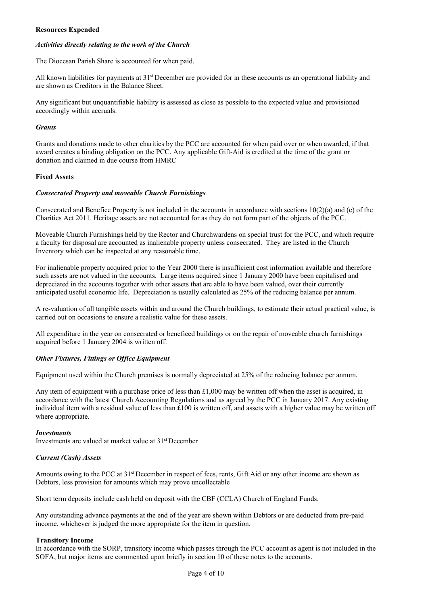#### **Resources Expended**

#### *Activities directly relating to the work of the Church*

The Diocesan Parish Share is accounted for when paid.

All known liabilities for payments at  $31<sup>st</sup>$  December are provided for in these accounts as an operational liability and are shown as Creditors in the Balance Sheet.

Any significant but unquantifiable liability is assessed as close as possible to the expected value and provisioned accordingly within accruals.

#### *Grants*

Grants and donations made to other charities by the PCC are accounted for when paid over or when awarded, if that award creates a binding obligation on the PCC. Any applicable Gift-Aid is credited at the time of the grant or donation and claimed in due course from HMRC

#### **Fixed Assets**

#### *Consecrated Property and moveable Church Furnishings*

Consecrated and Benefice Property is not included in the accounts in accordance with sections 10(2)(a) and (c) of the Charities Act 2011. Heritage assets are not accounted for as they do not form part of the objects of the PCC.

Moveable Church Furnishings held by the Rector and Churchwardens on special trust for the PCC, and which require a faculty for disposal are accounted as inalienable property unless consecrated. They are listed in the Church Inventory which can be inspected at any reasonable time.

For inalienable property acquired prior to the Year 2000 there is insufficient cost information available and therefore such assets are not valued in the accounts. Large items acquired since 1 January 2000 have been capitalised and depreciated in the accounts together with other assets that are able to have been valued, over their currently anticipated useful economic life. Depreciation is usually calculated as 25% of the reducing balance per annum.

A re-valuation of all tangible assets within and around the Church buildings, to estimate their actual practical value, is carried out on occasions to ensure a realistic value for these assets.

All expenditure in the year on consecrated or beneficed buildings or on the repair of moveable church furnishings acquired before 1 January 2004 is written off.

#### *Other Fixtures, Fittings or Office Equipment*

Equipment used within the Church premises is normally depreciated at 25% of the reducing balance per annum.

Any item of equipment with a purchase price of less than  $\pounds$ 1,000 may be written off when the asset is acquired, in accordance with the latest Church Accounting Regulations and as agreed by the PCC in January 2017. Any existing individual item with a residual value of less than £100 is written off, and assets with a higher value may be written off where appropriate.

#### *Investments*

Investments are valued at market value at 31st December

#### *Current (Cash) Assets*

Amounts owing to the PCC at 31<sup>st</sup> December in respect of fees, rents, Gift Aid or any other income are shown as Debtors, less provision for amounts which may prove uncollectable

Short term deposits include cash held on deposit with the CBF (CCLA) Church of England Funds.

Any outstanding advance payments at the end of the year are shown within Debtors or are deducted from pre-paid income, whichever is judged the more appropriate for the item in question.

#### **Transitory Income**

In accordance with the SORP, transitory income which passes through the PCC account as agent is not included in the SOFA, but major items are commented upon briefly in section 10 of these notes to the accounts.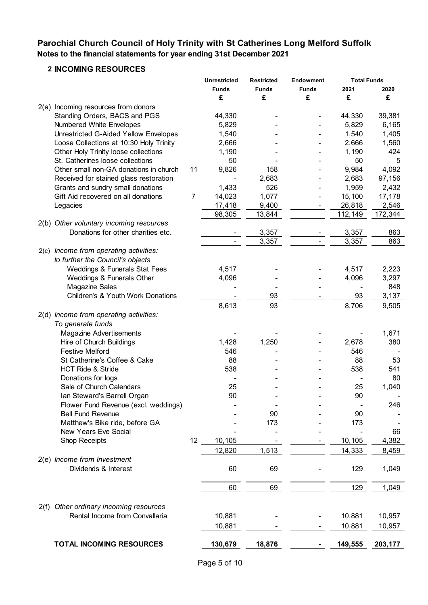# **Parochial Church Council of Holy Trinity with St Catherines Long Melford Suffolk Notes to the financial statements for year ending 31st December 2021**

# **2 INCOMING RESOURCES**

|                                           |    | <b>Unrestricted</b>      | <b>Restricted</b> | <b>Endowment</b> | <b>Total Funds</b> |         |
|-------------------------------------------|----|--------------------------|-------------------|------------------|--------------------|---------|
|                                           |    | <b>Funds</b>             | <b>Funds</b>      | <b>Funds</b>     | 2021               | 2020    |
|                                           |    | £                        | £                 | £                | £                  | £       |
| 2(a) Incoming resources from donors       |    |                          |                   |                  |                    |         |
| Standing Orders, BACS and PGS             |    | 44,330                   |                   |                  | 44,330             | 39,381  |
| Numbered White Envelopes                  |    | 5,829                    |                   |                  | 5,829              | 6,165   |
| Unrestricted G-Aided Yellow Envelopes     |    | 1,540                    |                   |                  | 1,540              | 1,405   |
| Loose Collections at 10:30 Holy Trinity   |    | 2,666                    |                   |                  | 2,666              | 1,560   |
| Other Holy Trinity loose collections      |    | 1,190                    |                   |                  | 1,190              | 424     |
| St. Catherines loose collections          |    | 50                       |                   |                  | 50                 | 5       |
| Other small non-GA donations in church    | 11 | 9,826                    | 158               |                  | 9,984              | 4,092   |
| Received for stained glass restoration    |    |                          | 2,683             |                  | 2,683              | 97,156  |
| Grants and sundry small donations         |    | 1,433                    | 526               |                  | 1,959              | 2,432   |
| Gift Aid recovered on all donations       | 7  | 14,023                   | 1,077             |                  | 15,100             | 17,178  |
| Legacies                                  |    | 17,418                   | 9,400             |                  | 26,818             | 2,546   |
|                                           |    | 98,305                   | 13,844            |                  | 112,149            | 172,344 |
| 2(b) Other voluntary incoming resources   |    |                          |                   |                  |                    |         |
| Donations for other charities etc.        |    |                          | 3,357             |                  | 3,357              | 863     |
|                                           |    | $\overline{\phantom{a}}$ | 3,357             |                  | 3,357              | 863     |
| 2(c) Income from operating activities:    |    |                          |                   |                  |                    |         |
| to further the Council's objects          |    |                          |                   |                  |                    |         |
| Weddings & Funerals Stat Fees             |    | 4,517                    |                   |                  | 4,517              | 2,223   |
| Weddings & Funerals Other                 |    | 4,096                    |                   |                  | 4,096              | 3,297   |
| <b>Magazine Sales</b>                     |    |                          |                   |                  |                    | 848     |
| Children's & Youth Work Donations         |    |                          | 93                |                  | 93                 | 3,137   |
|                                           |    | 8,613                    | 93                |                  | 8,706              | 9,505   |
| 2(d) Income from operating activities:    |    |                          |                   |                  |                    |         |
| To generate funds                         |    |                          |                   |                  |                    |         |
| <b>Magazine Advertisements</b>            |    |                          |                   |                  |                    | 1,671   |
| Hire of Church Buildings                  |    | 1,428                    | 1,250             |                  | 2,678              | 380     |
| <b>Festive Melford</b>                    |    | 546                      |                   |                  | 546                |         |
| St Catherine's Coffee & Cake              |    |                          |                   |                  |                    |         |
|                                           |    | 88                       |                   |                  | 88                 | 53      |
| <b>HCT Ride &amp; Stride</b>              |    | 538                      |                   |                  | 538                | 541     |
| Donations for logs                        |    |                          |                   |                  |                    | 80      |
| Sale of Church Calendars                  |    | 25                       |                   |                  | 25                 | 1,040   |
| Ian Steward's Barrell Organ               |    | 90                       |                   |                  | 90                 |         |
| Flower Fund Revenue (excl. weddings)      |    |                          |                   |                  |                    | 246     |
| <b>Bell Fund Revenue</b>                  |    |                          | 90                |                  | 90                 |         |
| Matthew's Bike ride, before GA            |    |                          | 173               |                  | 173                |         |
| New Years Eve Social                      |    |                          |                   |                  |                    | 66      |
| <b>Shop Receipts</b>                      | 12 | 10,105                   |                   |                  | 10,105             | 4,382   |
|                                           |    | 12,820                   | 1,513             |                  | 14,333             | 8,459   |
| 2(e) Income from Investment               |    |                          |                   |                  |                    |         |
| Dividends & Interest                      |    | 60                       | 69                |                  | 129                | 1,049   |
|                                           |    |                          |                   |                  |                    |         |
|                                           |    | 60                       | 69                |                  | 129                | 1,049   |
|                                           |    |                          |                   |                  |                    |         |
| Other ordinary incoming resources<br>2(f) |    |                          |                   |                  |                    |         |
| Rental Income from Convallaria            |    | 10,881                   |                   |                  | 10,881             | 10,957  |
|                                           |    | 10,881                   |                   |                  | 10,881             | 10,957  |
|                                           |    |                          |                   |                  |                    |         |
| <b>TOTAL INCOMING RESOURCES</b>           |    | 130,679                  | 18,876            |                  | 149,555            | 203,177 |
|                                           |    |                          |                   |                  |                    |         |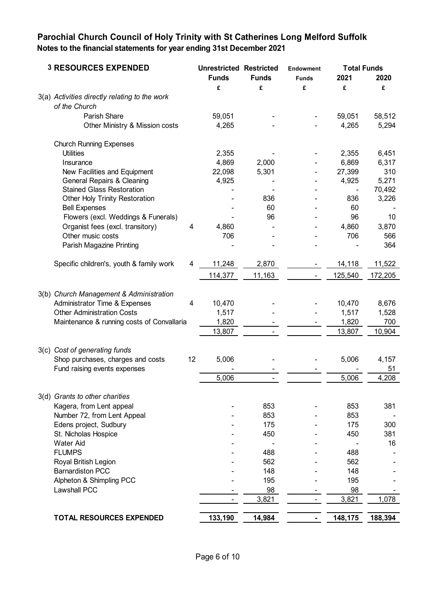# **Parochial Church Council of Holy Trinity with St Catherines Long Melford Suffolk Notes to the financial statements for year ending 31st December 2021**

| <b>3 RESOURCES EXPENDED</b>                                    |                         | <b>Unrestricted Restricted</b><br><b>Funds</b> | <b>Funds</b>   | <b>Endowment</b><br><b>Funds</b> | <b>Total Funds</b><br>2021 | 2020    |
|----------------------------------------------------------------|-------------------------|------------------------------------------------|----------------|----------------------------------|----------------------------|---------|
|                                                                |                         | £                                              | £              | £                                | £                          | £       |
| 3(a) Activities directly relating to the work<br>of the Church |                         |                                                |                |                                  |                            |         |
| Parish Share                                                   |                         | 59,051                                         |                |                                  | 59,051                     | 58,512  |
| Other Ministry & Mission costs                                 |                         | 4,265                                          |                |                                  | 4,265                      | 5,294   |
| <b>Church Running Expenses</b>                                 |                         |                                                |                |                                  |                            |         |
| <b>Utilities</b>                                               |                         | 2,355                                          |                |                                  | 2,355                      | 6,451   |
| Insurance                                                      |                         | 4,869                                          | 2,000          |                                  | 6,869                      | 6,317   |
| New Facilities and Equipment                                   |                         | 22,098                                         | 5,301          |                                  | 27,399                     | 310     |
| <b>General Repairs &amp; Cleaning</b>                          |                         | 4,925                                          |                |                                  | 4,925                      | 5,271   |
| <b>Stained Glass Restoration</b>                               |                         |                                                |                |                                  |                            | 70,492  |
| Other Holy Trinity Restoration                                 |                         |                                                | 836            |                                  | 836                        | 3,226   |
| <b>Bell Expenses</b>                                           |                         |                                                | 60             |                                  | 60                         |         |
| Flowers (excl. Weddings & Funerals)                            |                         |                                                | 96             |                                  | 96                         | 10      |
| Organist fees (excl. transitory)                               | 4                       | 4,860                                          |                |                                  | 4,860                      | 3,870   |
| Other music costs                                              |                         | 706                                            |                |                                  | 706                        | 566     |
| Parish Magazine Printing                                       |                         |                                                |                |                                  |                            | 364     |
| Specific children's, youth & family work                       | 4                       | 11,248                                         | 2,870          |                                  | 14,118                     | 11,522  |
|                                                                |                         | 114,377                                        | 11,163         |                                  | 125,540                    | 172,205 |
|                                                                |                         |                                                |                |                                  |                            |         |
| 3(b) Church Management & Administration                        |                         |                                                |                |                                  |                            |         |
| Administrator Time & Expenses                                  | $\overline{\mathbf{4}}$ | 10,470                                         |                |                                  | 10,470                     | 8,676   |
| <b>Other Administration Costs</b>                              |                         | 1,517                                          |                |                                  | 1,517                      | 1,528   |
| Maintenance & running costs of Convallaria                     |                         | 1,820                                          |                |                                  | 1,820                      | 700     |
|                                                                |                         | 13,807                                         |                |                                  | 13,807                     | 10,904  |
| 3(c) Cost of generating funds                                  |                         |                                                |                |                                  |                            |         |
| Shop purchases, charges and costs                              | 12                      | 5,006                                          |                |                                  | 5,006                      | 4,157   |
| Fund raising events expenses                                   |                         |                                                |                |                                  |                            | 51      |
|                                                                |                         | 5,006                                          | $\blacksquare$ |                                  | 5,006                      | 4,208   |
| 3(d) Grants to other charities                                 |                         |                                                |                |                                  |                            |         |
| Kagera, from Lent appeal                                       |                         |                                                | 853            |                                  | 853                        | 381     |
| Number 72, from Lent Appeal                                    |                         |                                                | 853            |                                  | 853                        |         |
| Edens project, Sudbury                                         |                         |                                                | 175            |                                  | 175                        | 300     |
| St. Nicholas Hospice                                           |                         |                                                | 450            |                                  | 450                        | 381     |
| <b>Water Aid</b>                                               |                         |                                                |                |                                  |                            | 16      |
| <b>FLUMPS</b>                                                  |                         |                                                | 488            |                                  | 488                        |         |
| Royal British Legion                                           |                         |                                                | 562            |                                  | 562                        |         |
| <b>Barnardiston PCC</b>                                        |                         |                                                | 148            |                                  | 148                        |         |
| Alpheton & Shimpling PCC                                       |                         |                                                | 195            |                                  | 195                        |         |
| <b>Lawshall PCC</b>                                            |                         |                                                | 98             |                                  | 98                         |         |
|                                                                |                         |                                                | 3,821          |                                  | 3,821                      | 1,078   |
| <b>TOTAL RESOURCES EXPENDED</b>                                |                         | 133,190                                        | 14,984         |                                  | 148,175                    | 188,394 |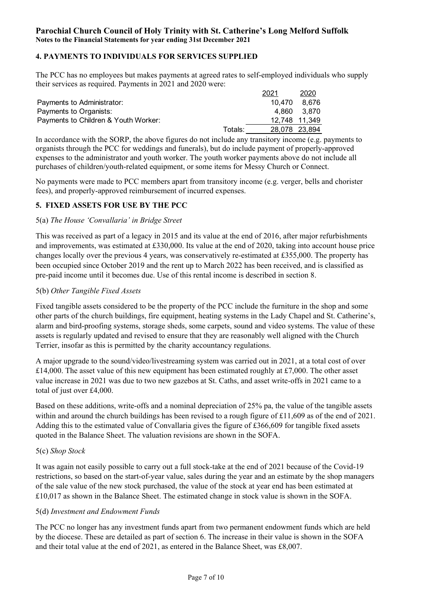# **4. PAYMENTS TO INDIVIDUALS FOR SERVICES SUPPLIED**

The PCC has no employees but makes payments at agreed rates to self-employed individuals who supply their services as required. Payments in 2021 and 2020 were:

|                                      |         | 2021          | 2020  |
|--------------------------------------|---------|---------------|-------|
| Payments to Administrator:           |         | 10.470        | 8.676 |
| Payments to Organists:               |         | 4.860         | 3.870 |
| Payments to Children & Youth Worker: |         | 12,748 11,349 |       |
|                                      | Totals: | 28,078 23,894 |       |

In accordance with the SORP, the above figures do not include any transitory income (e.g. payments to organists through the PCC for weddings and funerals), but do include payment of properly-approved expenses to the administrator and youth worker. The youth worker payments above do not include all purchases of children/youth-related equipment, or some items for Messy Church or Connect.

No payments were made to PCC members apart from transitory income (e.g. verger, bells and chorister fees), and properly-approved reimbursement of incurred expenses.

# **5. FIXED ASSETS FOR USE BY THE PCC**

# 5(a) *The House 'Convallaria' in Bridge Street*

This was received as part of a legacy in 2015 and its value at the end of 2016, after major refurbishments and improvements, was estimated at £330,000. Its value at the end of 2020, taking into account house price changes locally over the previous 4 years, was conservatively re-estimated at £355,000. The property has been occupied since October 2019 and the rent up to March 2022 has been received, and is classified as pre-paid income until it becomes due. Use of this rental income is described in section 8.

### 5(b) *Other Tangible Fixed Assets*

Fixed tangible assets considered to be the property of the PCC include the furniture in the shop and some other parts of the church buildings, fire equipment, heating systems in the Lady Chapel and St. Catherine's, alarm and bird-proofing systems, storage sheds, some carpets, sound and video systems. The value of these assets is regularly updated and revised to ensure that they are reasonably well aligned with the Church Terrier, insofar as this is permitted by the charity accountancy regulations.

A major upgrade to the sound/video/livestreaming system was carried out in 2021, at a total cost of over £14,000. The asset value of this new equipment has been estimated roughly at £7,000. The other asset value increase in 2021 was due to two new gazebos at St. Caths, and asset write-offs in 2021 came to a total of just over £4,000.

Based on these additions, write-offs and a nominal depreciation of 25% pa, the value of the tangible assets within and around the church buildings has been revised to a rough figure of £11,609 as of the end of 2021. Adding this to the estimated value of Convallaria gives the figure of £366,609 for tangible fixed assets quoted in the Balance Sheet. The valuation revisions are shown in the SOFA.

# 5(c) *Shop Stock*

It was again not easily possible to carry out a full stock-take at the end of 2021 because of the Covid-19 restrictions, so based on the start-of-year value, sales during the year and an estimate by the shop managers of the sale value of the new stock purchased, the value of the stock at year end has been estimated at £10,017 as shown in the Balance Sheet. The estimated change in stock value is shown in the SOFA.

# 5(d) *Investment and Endowment Funds*

The PCC no longer has any investment funds apart from two permanent endowment funds which are held by the diocese. These are detailed as part of section 6. The increase in their value is shown in the SOFA and their total value at the end of 2021, as entered in the Balance Sheet, was £8,007.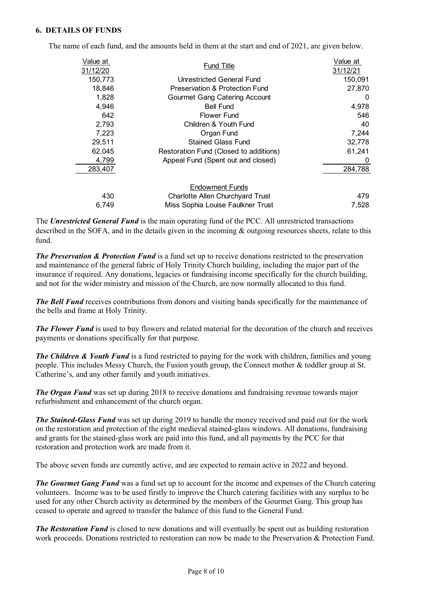### **6. DETAILS OF FUNDS**

| Value at<br>31/12/20 | <b>Fund Title</b>                      | Value at<br>31/12/21 |
|----------------------|----------------------------------------|----------------------|
| 150,773              | Unrestricted General Fund              | 150,091              |
| 18,846               | Preservation & Protection Fund         | 27,870               |
| 1,828                | <b>Gourmet Gang Catering Account</b>   | 0                    |
| 4,946                | <b>Bell Fund</b>                       | 4,978                |
| 642                  | <b>Flower Fund</b>                     | 546                  |
| 2,793                | Children & Youth Fund                  | 40                   |
| 7,223                | Organ Fund                             | 7,244                |
| 29,511               | <b>Stained Glass Fund</b>              | 32,778               |
| 62,045               | Restoration Fund (Closed to additions) | 61,241               |
| 4,799                | Appeal Fund (Spent out and closed)     | 0                    |
| 283,407              |                                        | 284,788              |
|                      | <b>Endowment Funds</b>                 |                      |
| 430                  | Charlotte Allen Churchyard Trust       | 479                  |
| 6.749                | Miss Sophia Louise Faulkner Trust      | 7,528                |

The name of each fund, and the amounts held in them at the start and end of 2021, are given below.

The *Unrestricted General Fund* is the main operating fund of the PCC. All unrestricted transactions described in the SOFA, and in the details given in the incoming & outgoing resources sheets, relate to this fund.

*The Preservation & Protection Fund* is a fund set up to receive donations restricted to the preservation and maintenance of the general fabric of Holy Trinity Church building, including the major part of the insurance if required. Any donations, legacies or fundraising income specifically for the church building, and not for the wider ministry and mission of the Church, are now normally allocated to this fund.

**The Bell Fund** receives contributions from donors and visiting bands specifically for the maintenance of the bells and frame at Holy Trinity.

*The Flower Fund* is used to buy flowers and related material for the decoration of the church and receives payments or donations specifically for that purpose.

**The Children & Youth Fund** is a fund restricted to paying for the work with children, families and young people. This includes Messy Church, the Fusion youth group, the Connect mother & toddler group at St. Catherine's, and any other family and youth initiatives.

*The Organ Fund* was set up during 2018 to receive donations and fundraising revenue towards major refurbishment and enhancement of the church organ.

*The Stained-Glass Fund* was set up during 2019 to handle the money received and paid out for the work on the restoration and protection of the eight medieval stained-glass windows. All donations, fundraising and grants for the stained-glass work are paid into this fund, and all payments by the PCC for that restoration and protection work are made from it.

The above seven funds are currently active, and are expected to remain active in 2022 and beyond.

*The Gourmet Gang Fund* was a fund set up to account for the income and expenses of the Church catering volunteers. Income was to be used firstly to improve the Church catering facilities with any surplus to be used for any other Church activity as determined by the members of the Gourmet Gang. This group has ceased to operate and agreed to transfer the balance of this fund to the General Fund.

*The Restoration Fund* is closed to new donations and will eventually be spent out as building restoration work proceeds. Donations restricted to restoration can now be made to the Preservation & Protection Fund.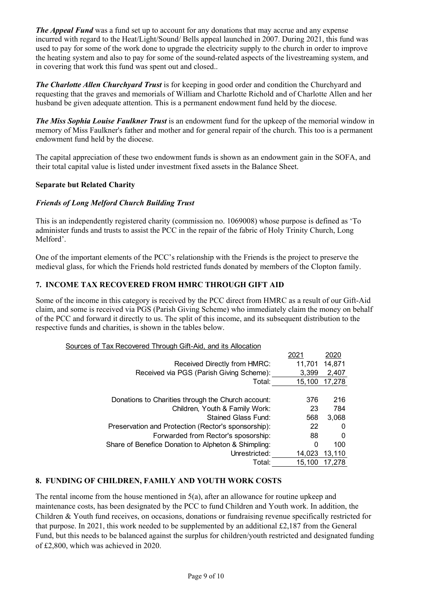*The Appeal Fund* was a fund set up to account for any donations that may accrue and any expense incurred with regard to the Heat/Light/Sound/ Bells appeal launched in 2007. During 2021, this fund was used to pay for some of the work done to upgrade the electricity supply to the church in order to improve the heating system and also to pay for some of the sound-related aspects of the livestreaming system, and in covering that work this fund was spent out and closed..

*The Charlotte Allen Churchyard Trust* is for keeping in good order and condition the Churchyard and requesting that the graves and memorials of William and Charlotte Richold and of Charlotte Allen and her husband be given adequate attention. This is a permanent endowment fund held by the diocese.

*The Miss Sophia Louise Faulkner Trust* is an endowment fund for the upkeep of the memorial window in memory of Miss Faulkner's father and mother and for general repair of the church. This too is a permanent endowment fund held by the diocese.

The capital appreciation of these two endowment funds is shown as an endowment gain in the SOFA, and their total capital value is listed under investment fixed assets in the Balance Sheet.

# **Separate but Related Charity**

# *Friends of Long Melford Church Building Trust*

This is an independently registered charity (commission no. 1069008) whose purpose is defined as 'To administer funds and trusts to assist the PCC in the repair of the fabric of Holy Trinity Church, Long Melford'.

One of the important elements of the PCC's relationship with the Friends is the project to preserve the medieval glass, for which the Friends hold restricted funds donated by members of the Clopton family.

# **7. INCOME TAX RECOVERED FROM HMRC THROUGH GIFT AID**

Some of the income in this category is received by the PCC direct from HMRC as a result of our Gift-Aid claim, and some is received via PGS (Parish Giving Scheme) who immediately claim the money on behalf of the PCC and forward it directly to us. The split of this income, and its subsequent distribution to the respective funds and charities, is shown in the tables below.

| Sources of Tax Recovered Through Gift-Aid, and its Allocation |
|---------------------------------------------------------------|
|---------------------------------------------------------------|

|                                                     | 202      | 2020   |
|-----------------------------------------------------|----------|--------|
| Received Directly from HMRC:                        | 11,701   | 14,871 |
| Received via PGS (Parish Giving Scheme):            | 3,399    | 2,407  |
| Total:                                              | 15,100   | 17,278 |
|                                                     |          |        |
| Donations to Charities through the Church account:  | 376      | 216    |
| Children, Youth & Family Work:                      | 23       | 784    |
| Stained Glass Fund:                                 | 568      | 3,068  |
| Preservation and Protection (Rector's sponsorship): | 22       | 0      |
| Forwarded from Rector's sposorship:                 | 88       | 0      |
| Share of Benefice Donation to Alpheton & Shimpling: | $\Omega$ | 100    |
| Unrestricted:                                       | 14.023   | 13,110 |
| Total:                                              | 15.100   | 17.278 |

# **8. FUNDING OF CHILDREN, FAMILY AND YOUTH WORK COSTS**

The rental income from the house mentioned in  $5(a)$ , after an allowance for routine upkeep and maintenance costs, has been designated by the PCC to fund Children and Youth work. In addition, the Children & Youth fund receives, on occasions, donations or fundraising revenue specifically restricted for that purpose. In 2021, this work needed to be supplemented by an additional  $\text{\pounds}2,187$  from the General Fund, but this needs to be balanced against the surplus for children/youth restricted and designated funding of £2,800, which was achieved in 2020.